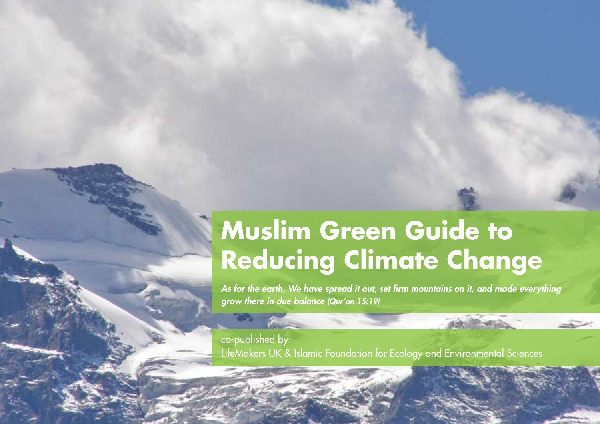### **Muslim Green Guide to Reducing Climate Change**

*As for the earth, We have spread it out, set firm mountains on it, and made everything grow there in due balance (Qur'an 15:19)*

co-published by: LifeMakers UK & Islamic Foundation for Ecology and Environmental Sciences

**Contract**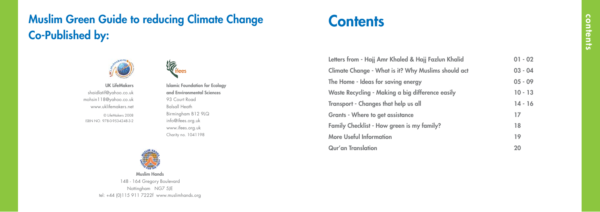Letters from - Hajj Amr Khaled & Hajj Fazlun Kha Climate Change - What is it? Why Muslims shoul The Home - Ideas for saving energy Waste Recycling - Making a big difference easily Transport - Changes that help us all Grants - Where to get assistance Family Checklist - How green is my family? More Useful Information Qur'an Translation

| alid   | $01 - 02$ |  |
|--------|-----------|--|
| ld act | $03 - 04$ |  |
|        | $05 - 09$ |  |
| V      | $10 - 13$ |  |
|        | $14 - 16$ |  |
|        | 17        |  |
|        | 18        |  |
|        | 19        |  |
|        | 20        |  |
|        |           |  |

Islamic Foundation for Ecology and Environmental Sciences 93 Court Road Balsall Heath Birmingham B12 9LQ info@ifees.org.uk www.ifees.org.uk Charity no. 1041198

© LifeMakers 2008 ISBN NO. 978-0-9534248-3-2 UK LifeMakers shaidlatif@yahoo.co.uk mohsin118@yahoo.co.uk www.uklifemakers.net





148 - 164 Gregory Boulevard Nottingham NG7 5JE tel: +44 (0)115 911 7222f www.muslimhands.org

# **Contents**

## Muslim Green Guide to reducing Climate Change Co-Published by:

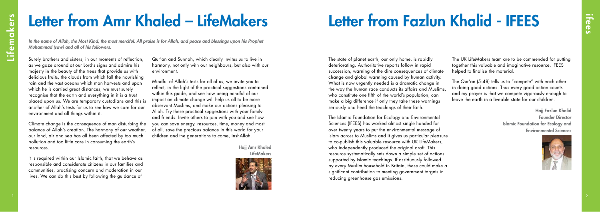Hajj Amr Khaled **LifeMakers** 



Hajj Fazlun Khalid Founder Director Islamic Foundation for Ecology and Environmental Sciences



*In the name of Allah, the Most Kind, the most merciful. All praise is for Allah, and peace and blessings upon his Prophet Muhammad (saw) and all of his followers.*

Surely brothers and sisters, in our moments of reflection, as we gaze around at our Lord's signs and admire his majesty in the beauty of the trees that provide us with delicious fruits, the clouds from which fall the nourishing rain and the vast oceans which man harvests and upon which he is carried great distances; we must surely recognise that the earth and everything in it is a trust placed upon us. We are temporary custodians and this is another of Allah's tests for us to see how we care for our environment and all things within it.

Climate change is the consequence of man disturbing the balance of Allah's creation. The harmony of our weather, our land, air and sea has all been affected by too much pollution and too little care in consuming the earth's resources.

It is required within our Islamic faith, that we behave as responsible and considerate citizens in our families and communities, practising concern and moderation in our lives. We can do this best by following the guidance of

The state of planet earth, our only home, is rapidly deteriorating. Authoritative reports follow in rapid succession, warning of the dire consequences of climate change and global warming caused by human activity. What is now urgently needed is a dramatic change in the way the human race conducts its affairs and Muslims, who constitute one fifth of the world's population, can make a big difference if only they take these warnings seriously and heed the teachings of their faith.

The Islamic Foundation for Ecology and Environmental Sciences (IFEES) has worked almost single handed for over twenty years to put the environmental message of Islam across to Muslims and it gives us particular pleasure to co-publish this valuable resource with UK LifeMakers, who independently produced the original draft. This resource systematically sets down a simple set of actions supported by Islamic teachings. If assiduously followed by every Muslim household in Britain, these could make a significant contribution to meeting government targets in reducing greenhouse gas emissions.

# Letter from Amr Khaled – LifeMakers Letter from Fazlun Khalid - IFEES

Qur'an and Sunnah, which clearly invites us to live in harmony, not only with our neighbours, but also with our environment.

Mindful of Allah's tests for all of us, we invite you to reflect, in the light of the practical suggestions contained within this guide, and see how being mindful of our impact on climate change will help us all to be more observant Muslims, and make our actions pleasing to Allah. Try these practical suggestions with your family and friends. Invite others to join with you and see how you can save energy, resources, time, money and most of all, save the precious balance in this world for your children and the generations to come, inshAllah.

The UK LifeMakers team are to be commended for putting together this valuable and imaginative resource. IFEES

helped to finalise the material.

The Qur'an (5:48) tells us to "compete" with each other in doing good actions. Thus every good action counts and my prayer is that we compete vigorously enough to leave the earth in a liveable state for our children.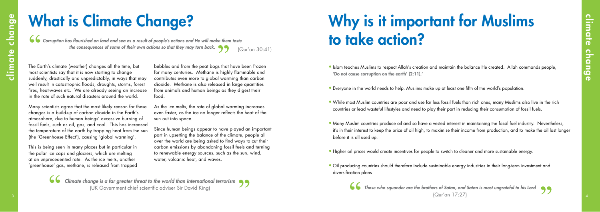*Those who squander are the brothers of Satan, and Satan is most ungrateful to his Lord* (Qur'an 17:27)



# **3 4c**<br> **3** 4ccomparison between the state of the state of the state of the state of the state of the state of the state of the state of the state of the state of the state of the state of the state of the state of the st Why is it important for Muslims to take action?

• Islam teaches Muslims to respect Allah's creation and maintain the balance He created. Allah commands people, 'Do not cause corruption on the earth' (2:11).'

- • Everyone in the world needs to help. Muslims make up at least one fifth of the world's population.
- While most Muslim countries are poor and use far less fossil fuels than rich ones, many Muslims also live in the rich countries or lead wasteful lifestyles and need to play their part in reducing their consumption of fossil fuels.
- Many Muslim countries produce oil and so have a vested interest in maintaining the fossil fuel industry. Nevertheless, it's in their interest to keep the price of oil high, to maximise their income from production, and to make the oil last longer before it is all used up.
- Higher oil prices would create incentives for people to switch to cleaner and more sustainable energy.
- Oil producing countries should therefore include sustainable energy industries in their long-term investment and diversification plans

The Earth's climate (weather) changes all the time, but most scientists say that it is now starting to change suddenly, drastically and unpredictably, in ways that may well result in catastrophic floods, droughts, storms, forest fires, heat-waves etc. We are already seeing an increase in the rate of such natural disasters around the world.

Many scientists agree that the most likely reason for these changes is a build-up of carbon dioxide in the Earth's atmosphere, due to human beings' excessive burning of fossil fuels, such as oil, gas, and coal. This has increased the temperature of the earth by trapping heat from the sun (the 'Greenhouse Effect'), causing 'global warming'.

This is being seen in many places but in particular in the polar ice caps and glaciers, which are melting at an unprecedented rate. As the ice melts, another 'greenhouse' gas, methane, is released from trapped

*Corruption has flourished on land and sea as a result of people's actions and He will make them taste the consequences of some of their own actions so that they may turn back.*  (Qur'an 30:41)

> *Climate change is a far greater threat to the world than international terrorism*  (UK Government chief scientific adviser Sir David King)

# What is Climate Change?

bubbles and from the peat bogs that have been frozen for many centuries. Methane is highly flammable and contributes even more to global warming than carbon dioxide. Methane is also released in large quantities from animals and human beings as they digest their food.

As the ice melts, the rate of global warming increases even faster, as the ice no longer reflects the heat of the sun out into space.

Since human beings appear to have played an important part in upsetting the balance of the climate, people all over the world are being asked to find ways to cut their carbon emissions by abandoning fossil fuels and turning to renewable energy sources, such as the sun, wind, water, volcanic heat, and waves.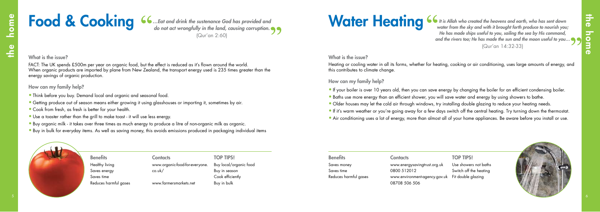FACT: The UK spends £500m per year on organic food, but the effect is reduced as it's flown around the world. When organic products are imported by plane from New Zealand, the transport energy used is 235 times greater than the energy savings of organic production.

### How can my family help?

- Think before you buy. Demand local and organic and seasonal food.
- Getting produce out of season means either growing it using glasshouses or importing it, sometimes by air.
- Cook from fresh, as fresh is better for your health.
- Use a toaster rather than the grill to make toast it will use less energy.
- • Buy organic milk it takes over three times as much energy to produce a litre of non-organic milk as organic.
- Buy in bulk for everyday items. As well as saving money, this avoids emissions produced in packaging individual items

### What is the issue?

Benefits Contacts Contacts TOP TIPS! www.organic-food-for-everyone. co.uk/ www.farmersmarkets.net

Buy local/organic food Buy in season Cook efficiently Buy in bulk

Healthy living Saves energy Saves time Reduces harmful gases *…Eat and drink the sustenance God has provided and do not act wrongfully in the land, causing corruption.* (Qur'an 2:60)

# Food & Cooking

### TOP TIPS!

Use showers not baths Switch off the heating



**Food & Cooking**  $\frac{6}{4}$  and distributed the subsequent Cold by a provided and<br>  $\frac{6}{4}$  contact was able to contact the home of the subsequent of the home of the subsequent of the subsequent of the subsequent of the s *It is Allah who created the heavens and earth, who has sent down water from the sky and with it brought forth produce to nourish you; He has made ships useful to you, sailing the sea by His command, and the rivers too; He has made the sun and the moon useful to you…* (Qur'an 14:32-33)

### What is the issue?

| <b>Benefits</b>       | <b>Contacts</b>                                  | <b>TOP TIPS!</b>   |
|-----------------------|--------------------------------------------------|--------------------|
| Saves money           | www.energysavingtrust.org.uk                     | Use showers not b  |
| Saves time            | 0800 512012                                      | Switch off the hea |
| Reduces harmful gases | www.environment-agency.gov.uk Fit double glazing |                    |
|                       | 08708 506 506                                    |                    |

Heating or cooling water in all its forms, whether for heating, cooking or air conditioning, uses large amounts of energy, and this contributes to climate change.

How can my family help?

- If your boiler is over 10 years old, then you can save energy by changing the boiler for an efficient condensing boiler.
- Baths use more energy than an efficient shower, you will save water and energy by using showers to bathe.
- Older houses may let the cold air through windows, try installing double glazing to reduce your heating needs.
- If it's warm weather or you're going away for a few days switch off the central heating. Try turning down the thermostat.
- Air conditioning uses a lot of energy, more than almost all of your home appliances. Be aware before you install or use.

# Water Heating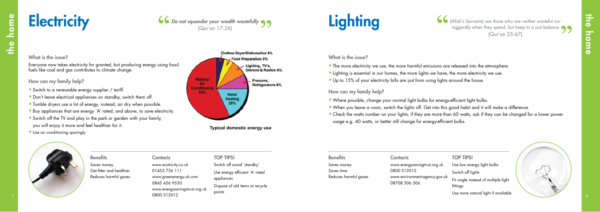

- Use low energy light bulbs
- Switch off lights
- Fit single instead of multiple light fittings
- Use more natural light if available



| <b>Contacts</b>                                | <b>TOP TIPS!</b>           |
|------------------------------------------------|----------------------------|
| www.energysavingtrust.org.uk                   | Use low ene                |
| 0800 512012                                    | Switch off lig             |
| www.environment-agency.gov.uk<br>08708 506 506 | Fit single ins<br>fittinas |

| <b>Benefits</b>       | Cor       |
|-----------------------|-----------|
| Saves money           | <b>ww</b> |
| Saves time            | 080       |
| Reduces harmful gases | <b>ww</b> |
|                       |           |

- Where possible, change your normal light bulbs for energy-efficient light bulbs. • When you leave a room, switch the lights off. Get into this good habit and it will make a difference.
- Check the watts number on your lights, if they are more than 60 watts, ask if they can be changed for a lower power usage e.g. 40 watts, or better still change for energy-efficient bulbs.



How can my family help?

Contacts **TOP TIPS!** www.ecotricity.co.uk 01453 756 111 www.greenenergy.uk.com 0845 456 9550 www.energysavingstrust.org.uk 0800 512012

**Benefits** Saves money Get fitter and healthier Reduces harmful gases (Allah's Servants) are those who are neither wasteful nor niggardly when they spend, but keep to a just balance (Qur'an 25:67)





### What is the issue?

Switch off avoid 'standby' Use energy efficient 'A' rated appliances Dispose of old items at recycle points

Everyone now takes electricity for granted, but producing energy using fossil fuels like coal and gas contributes to climate change.

### How can my family help?

- Switch to a renewable energy supplier / tariff.
- Don't leave electrical appliances on standby, switch them off.
- Tumble dryers use a lot of energy, instead, air dry when possible.
- Buy appliances that are energy 'A' rated, and above, to save electricity.
- Switch off the TV and play in the park or garden with your family, you will enjoy it more and feel healthier for it.
- Use air conditioning sparingly



**Typical domestic energy use**

### What is the issue?

- The more electricity we use, the more harmful emissions are released into the atmosphere.
- Lighting is essential in our homes, the more lights we have, the more electricity we use.
- Up to 15% of your electricity bills are just from using lights around the house.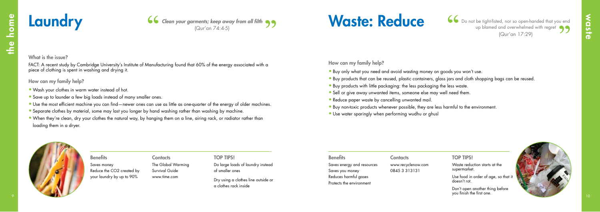# Waste: Reduce 66 Do not be tight-fisted, nor so open-handed that you end

### What is the issue?

### How can my family help?

- Buy only what you need and avoid wasting money on goods you won't use.
- Buy products that can be reused, plastic containers, glass jars and cloth shopping bags can be reused.
- Buy products with little packaging: the less packaging the less waste.
- Sell or give away unwanted items, someone else may well need them.
- Reduce paper waste by cancelling unwanted mail.
- Buy non-toxic products whenever possible, they are less harmful to the environment.
- Use water sparingly when performing wudhu or ghusl



| <b>Laundry</b>                                                                                                                                                                         |                                                                                                                                                                                |                                                                         | 66 Clean your garments; keep away from all filth<br>(Qur'an 74:4-5)                                                                                                                                                                                                                                                                                                               | <b>Waste: Reduce</b>                                                                                                  |                                                                                                                                                                                                                                                                                      | 6 Do not be tight-fisted, nor so open-handed that you end                                                                                                                                         | up blamed and overwhelmed with regret<br>(Qur'an 17:29) |
|----------------------------------------------------------------------------------------------------------------------------------------------------------------------------------------|--------------------------------------------------------------------------------------------------------------------------------------------------------------------------------|-------------------------------------------------------------------------|-----------------------------------------------------------------------------------------------------------------------------------------------------------------------------------------------------------------------------------------------------------------------------------------------------------------------------------------------------------------------------------|-----------------------------------------------------------------------------------------------------------------------|--------------------------------------------------------------------------------------------------------------------------------------------------------------------------------------------------------------------------------------------------------------------------------------|---------------------------------------------------------------------------------------------------------------------------------------------------------------------------------------------------|---------------------------------------------------------|
| What is the issue?<br>piece of clothing is spent in washing and drying it.<br>How can my family help?<br>. Wash your clothes in warm water instead of hot.<br>loading them in a dryer. | • Save up to launder a few big loads instead of many smaller ones.<br>. Separate clothes by material, some may last you longer by hand washing rather than washing by machine. |                                                                         | FACT: A recent study by Cambridge University's Institute of Manufacturing found that 60% of the energy associated with a<br>. Use the most efficient machine you can find—newer ones can use as little as one-quarter of the energy of older machines.<br>. When they're clean, dry your clothes the natural way, by hanging them on a line, airing rack, or radiator rather than | How can my family help?<br>• Reduce paper waste by cancelling unwanted mail.                                          | . Buy only what you need and avoid wasting money on goods you won't use.<br>. Buy products with little packaging: the less packaging the less waste.<br>• Sell or give away unwanted items, someone else may well need them.<br>• Use water sparingly when performing wudhu or ghusl | . Buy products that can be reused, plastic containers, glass jars and cloth shopping bags can be reused.<br>. Buy non-toxic products whenever possible, they are less harmful to the environment. |                                                         |
|                                                                                                                                                                                        | <b>Benefits</b><br>Saves money<br>Reduce the CO2 created by<br>your laundry by up to 90%                                                                                       | <b>Contacts</b><br>The Global Warming<br>Survival Guide<br>www.time.com | <b>TOP TIPS!</b><br>Do large loads of laundry instead<br>of smaller ones<br>Dry using a clothes line outside or<br>a clothes rack inside                                                                                                                                                                                                                                          | <b>Benefits</b><br>Saves energy and resources<br>Saves you money<br>Reduces harmful gases<br>Protects the environment | <b>Contacts</b><br>www.recyclenow.com<br>0845 3 3 1 3 1 3 1                                                                                                                                                                                                                          | <b>TOP TIPS!</b><br>Waste reduction starts at the<br>supermarket.<br>Use food in order of age, so that it<br>doesn't rot.<br>Don't open another thing before<br>you finish the first one.         |                                                         |



- Wash your clothes in warm water instead of hot.
- Save up to launder a few big loads instead of many smaller ones.
- Use the most efficient machine you can find—newer ones can use as little as one-quarter of the energy of older machines.
- Separate clothes by material, some may last you longer by hand washing rather than washing by machine.
- When they're clean, dry your clothes the natural way, by hanging them on a line, airing rack, or radiator rather than loading them in a dryer.

# Saves money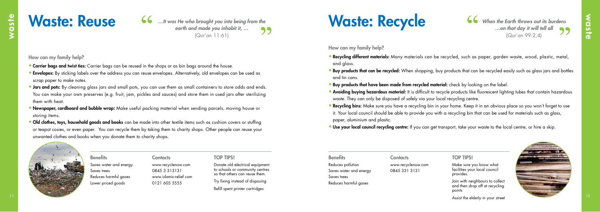

Saves water and energy Saves trees Reduces harmful gases Lower priced goods

Benefits Contacts Contacts TOP TIPS! www.recyclenow.com 0845 3 313131 www.islamic-relief.com 0121 605 5555

Donate old electrical equipment to schools or community centres so that others can reuse them.

Try fixing instead of disposing

Refill spent printer cartridges

How can my family help?

- Carrier bags and twist ties: Carrier bags can be reused in the shops or as bin bags around the house.
- Envelopes: By sticking labels over the address you can reuse envelopes. Alternatively, old envelopes can be used as scrap paper to make notes.
- **Jars and pots:** By cleaning glass jars and small pots, you can use them as small containers to store odds and ends. You can make your own preserves (e.g. fruit, jam, pickles and sauces) and store them in used jars after sterilizing them with heat.
- Newspaper, cardboard and bubble wrap: Make useful packing material when sending parcels, moving house or storing items.
- Old clothes, toys, household goods and books can be made into other textile items such as cushion covers or stuffing or teapot cosies, or even paper. You can recycle them by taking them to charity shops. Other people can reuse your unwanted clothes and books when you donate them to charity shops.



- ike sure you know what lities your local council provides.
- with neighbours to collect then drop off at recycling points
- Assist the elderly in your street

*…It was He who brought you into being from the earth and made you inhabit it, …*  99 (Qur'an 11:61)

# Waste: Reuse

| <b>Benefits</b>        | <b>Contacts</b>    | <b>TOP TIPS!</b>                                                   |
|------------------------|--------------------|--------------------------------------------------------------------|
| Reduces pollution      | www.recyclenow.com | Make sure y                                                        |
| Saves water and energy | 0845 331 3131      | facilities you<br>provides.                                        |
| Saves trees            |                    |                                                                    |
| Reduces harmful gases  |                    | Join with ne<br>and then dr<br>the contract to the contract of the |

How can my family help?

- **Recycling different materials:** Many materials can be recycled, such as paper, garden waste, wood, plastic, metal, and glass.
- Buy products that can be recycled: When shopping, buy products that can be recycled easily such as glass jars and bottles and tin cans.
- Buy products that have been made from recycled material: check by looking on the label.
- **Avoiding buying hazardous material:** It is difficult to recycle products like fluorescent lighting tubes that contain hazardous waste. They can only be disposed of safely via your local recycling centre.
- Recycling bins: Make sure you have a recycling bin in your home. Keep it in an obvious place so you won't forget to use it. Your local council should be able to provide you with a recycling bin that can be used for materials such as glass, paper, aluminium and plastic.
- **Use your local council recycling centre:** If you can get transport, take your waste to the local centre, or hire a skip.

*When the Earth throws out its burdens …on that day it will tell all* (Qur'an 99:2,4)

# Waste: Recycle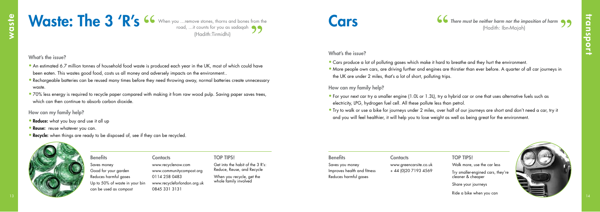

| <b>Benefits</b>             | <b>Contacts</b>        |
|-----------------------------|------------------------|
| Saves you money             | www.greencarsite.co.uk |
| Improves health and fitness | + 44 (0) 20 7193 4569  |
| Reduces harmful gases       |                        |
|                             |                        |

- Walk more, use the car less
- Try smaller-engined cars, they're cleaner & cheaper
- Share your journeys
- Ride a bike when you can



What's the issue?

- Cars produce a lot of polluting gases which make it hard to breathe and they hurt the environment.
- More people own cars, are driving further and engines are thirstier than ever before. A quarter of all car journeys in the UK are under 2 miles, that's a lot of short, polluting trips.

How can my family help?

When you recycle, get the whole family involved



Benefits Contacts Contacts TOP TIPS! Saves money Good for your garden Reduces harmful gases Up to 50% of waste in your bin can be used as compost

- • For your next car try a smaller engine (1.0L or 1.3L), try a hybrid car or one that uses alternative fuels such as electricity, LPG, hydrogen fuel cell. All these pollute less than petrol.
- • Try to walk or use a bike for journeys under 2 miles, over half of our journeys are short and don't need a car, try it and you will feel healthier, it will help you to lose weight as well as being great for the environment.
- An estimated 6.7 million tonnes of household food waste is produced each year in the UK, most of which could have been eaten. This wastes good food, costs us all money and adversely impacts on the environment..
- Rechargeable batteries can be reused many times before they need throwing away, normal batteries create unnecessary waste.
- 70% less energy is required to recycle paper compared with making it from raw wood pulp. Saving paper saves trees, which can then continue to absorb carbon dioxide.

**Cars Figure 1.1 There must be neither harm nor the imposition of harm 99** 

### **TOP TIPS!**

# Waste: The 3 'R's <sup>66</sup> When you ....remove stones, thorns and bones

Get into the habit of the 3 R's: Reduce, Reuse, and Recycle

www.recyclenow.com www.communitycompost.org 0114 258 0483 www.recycleforlondon.org.uk 0845 331 3131

How can my family help?

- **Reduce:** what you buy and use it all up
- Reuse: reuse whatever you can.
- Recycle: when things are ready to be disposed of, see if they can be recycled.

When you …remove stones, thorns and bones from the (Hadith:Tirmidhi)

What's the issue?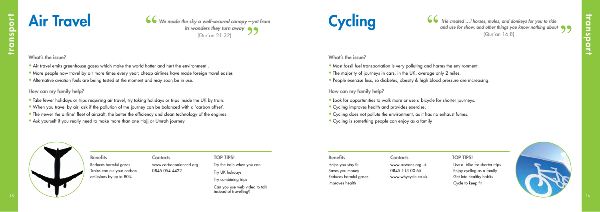

 Use a bike for shorter trips Enjoy cycling as a family Get into healthy habits Cycle to keep fit

| <b>Benefits</b>            | Contacts               | <b>TOP TIPS!</b>           | <b>Benefits</b>       | Contacts            | <b>TOP TIPS!</b> |
|----------------------------|------------------------|----------------------------|-----------------------|---------------------|------------------|
| Reduces harmful gases      | www.carbonbalanced.org | Try the train when you can | Helps you stay fit    | www.sustrans.org.uk | Use a bike       |
| Trains can cut your carbon | 0845 054 4422          | Try UK holidays            | Saves you money       | 0845 113 00 65      | Enjoy cycli      |
| emissions by up to 80%     |                        |                            | Reduces harmful gases | www.whycycle.co.uk  | Get into he      |
|                            |                        | Try combining trips        | Improves health       |                     | Cycle to ke      |

### How can my family help?

- Look for opportunities to walk more or use a bicycle for shorter journeys.
- Cycling improves health and provides exercise.
- Cycling does not pollute the environment, as it has no exhaust fumes.
- Cycling is something people can enjoy as a family



*[He created …] horses, mules, and donkeys for you to ride and use for show, and other things you know nothing about* (Qur'an 16:8)





What's the issue?

- Most fossil fuel transportation is very polluting and harms the environment.
- The majority of journeys in cars, in the UK, average only 2 miles.
- People exercise less, so diabetes, obesity & high blood pressure are increasing.

### Reduces harmful gases Trains can cut your carbon emissions by up to 80%

Can you use web video to talk instead of travelling?

### How can my family help?

- Take fewer holidays or trips requiring air travel, try taking holidays or trips inside the UK by train.
- • When you travel by air, ask if the pollution of the journey can be balanced with a 'carbon offset'.
- The newer the airline' fleet of aircraft, the better the efficiency and clean technology of the engines.
- Ask yourself if you really need to make more than one Hajj or Umrah journey.

*We made the sky a well‑secured canopy—yet from its wonders they turn away* (Qur'an 21:32)

### What's the issue?

- Air travel emits greenhouse gases which make the world hotter and hurt the environment
- More people now travel by air more times every year: cheap airlines have made foreign travel easier.
- Alternative aviation fuels are being tested at the moment and may soon be in use.

# Air Travel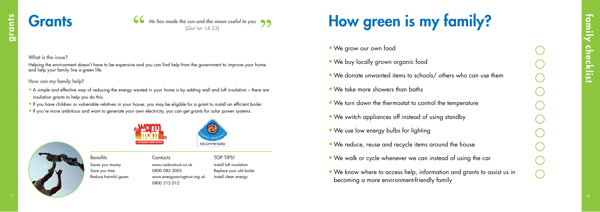Grants **66** He has made the sun and the moon useful to you 99

### What is the issue?

- We buy locally grown organic food
- We donate unwanted items to schools/ others who can use them
- We take more showers than baths
- We turn down the thermostat to control the temperature
- We switch appliances off instead of using standby
- We use low energy bulbs for lighting
- We reduce, reuse and recycle items around the house
- We walk or cycle whenever we can instead of using the car
- We know where to access help, information and grants to assist us in becoming a more environment-friendly family



www.carbontrust.co.uk 0800 085 2005 www.energysavingtrust.org.uk 0800 512 012 **Contacts** 

Saves you money Save you time Reduce harmful gases **Benefits** 

Install loft insulation Replace your old boiler Install clean energy TOP TIPS!

# How green is my family?

• We grow our own food

Helping the environment doesn't have to be expensive and you can find help from the government to improve your home and help your family live a green life.

How can my family help?

- **17 18 6 (be described the second for each was enough the most under to your grants and for each point of the second second for each point of the second second for each point of the second second was also control of the se** • A simple and effective way of reducing the energy wasted in your home is by adding wall and loft insulation – there are insulation grants to help you do this.
	- • If you have children or vulnerable relatives in your house, you may be eligible for a grant to install an efficient boiler.
	- If you're more ambitious and want to generate your own electricity, you can get grants for solar power systems.



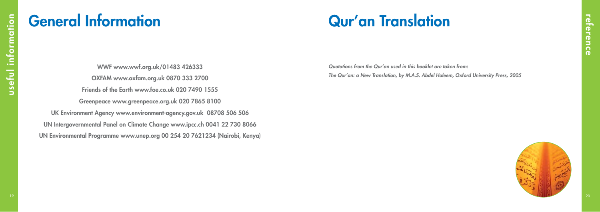

*Quotations from the Qur'an used in this booklet are taken from: The Qur'an: a New Translation, by M.A.S. Abdel Haleem, Oxford University Press, 2005*

# Qur'an Translation

WWF www.wwf.org.uk/01483 426333 OXFAM www.oxfam.org.uk 0870 333 2700 Friends of the Earth www.foe.co.uk 020 7490 1555 Greenpeace www.greenpeace.org.uk 020 7865 8100 UK Environment Agency www.environment-agency.gov.uk 08708 506 506 UN Intergovernmental Panel on Climate Change www.ipcc.ch 0041 22 730 8066 UN Environmental Programme www.unep.org 00 254 20 7621234 (Nairobi, Kenya)

# General Information